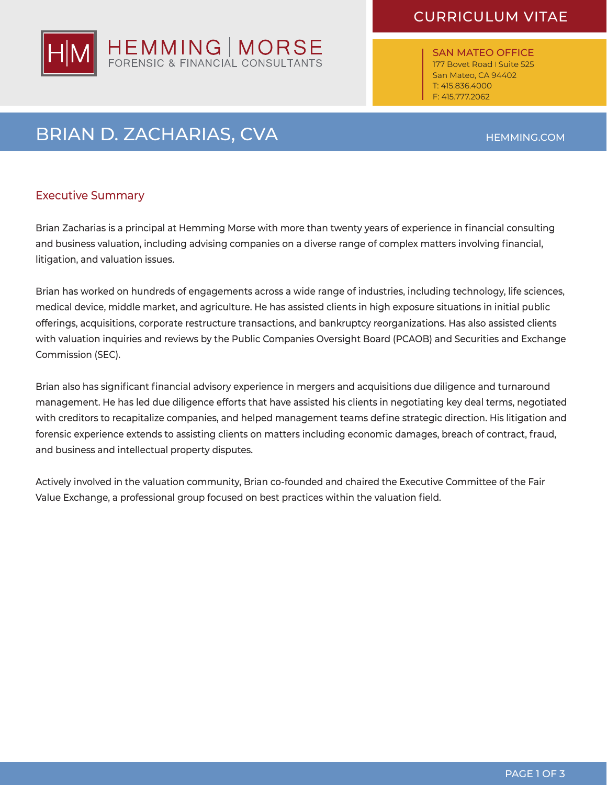## CURRICULUM VITAE

SAN MATEO OFFICE 177 Bovet Road I Suite 525 San Mateo, CA 94402 T: 415.836.4000 F: 415.777.2062

# BRIAN D. ZACHARIAS, CVA

## Executive Summary

Brian Zacharias is a principal at Hemming Morse with more than twenty years of experience in financial consulting and business valuation, including advising companies on a diverse range of complex matters involving financial, litigation, and valuation issues.

Brian has worked on hundreds of engagements across a wide range of industries, including technology, life sciences, medical device, middle market, and agriculture. He has assisted clients in high exposure situations in initial public offerings, acquisitions, corporate restructure transactions, and bankruptcy reorganizations. Has also assisted clients with valuation inquiries and reviews by the Public Companies Oversight Board (PCAOB) and Securities and Exchange Commission (SEC).

Brian also has significant financial advisory experience in mergers and acquisitions due diligence and turnaround management. He has led due diligence efforts that have assisted his clients in negotiating key deal terms, negotiated with creditors to recapitalize companies, and helped management teams define strategic direction. His litigation and forensic experience extends to assisting clients on matters including economic damages, breach of contract, fraud, and business and intellectual property disputes.

Actively involved in the valuation community, Brian co-founded and chaired the Executive Committee of the Fair Value Exchange, a professional group focused on best practices within the valuation field.



HEMMING.COM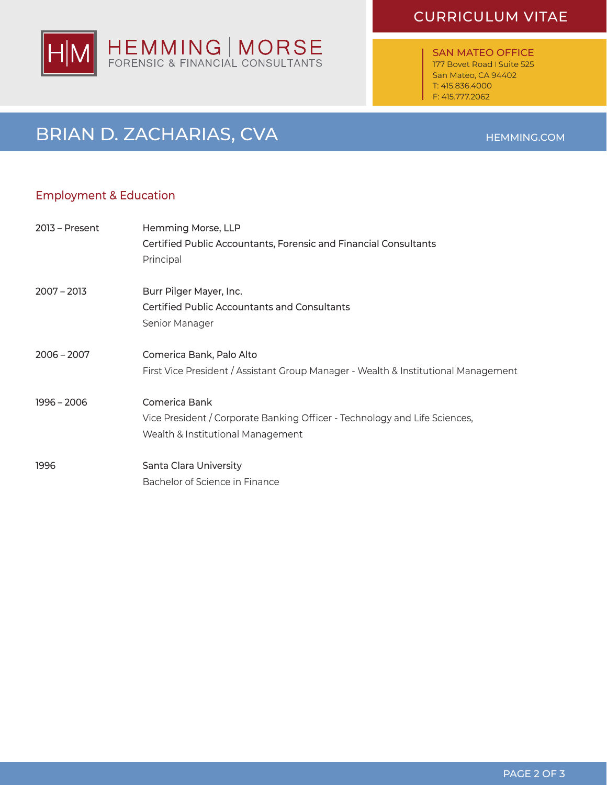## HEMMING | MORSE<br>FORENSIC & FINANCIAL CONSULTANTS lΗ

## CURRICULUM VITAE

SAN MATEO OFFICE 177 Bovet Road I Suite 525 San Mateo, CA 94402 T: 415.836.4000 F: 415.777.2062

## BRIAN D. ZACHARIAS, CVA

### Employment & Education

| $2013$ – Present | Hemming Morse, LLP<br>Certified Public Accountants, Forensic and Financial Consultants<br>Principal                              |
|------------------|----------------------------------------------------------------------------------------------------------------------------------|
| $2007 - 2013$    | Burr Pilger Mayer, Inc.<br><b>Certified Public Accountants and Consultants</b><br>Senior Manager                                 |
| $2006 - 2007$    | Comerica Bank, Palo Alto<br>First Vice President / Assistant Group Manager - Wealth & Institutional Management                   |
| 1996 - 2006      | Comerica Bank<br>Vice President / Corporate Banking Officer - Technology and Life Sciences,<br>Wealth & Institutional Management |
| 1996             | Santa Clara University<br>Bachelor of Science in Finance                                                                         |

#### HEMMING.COM